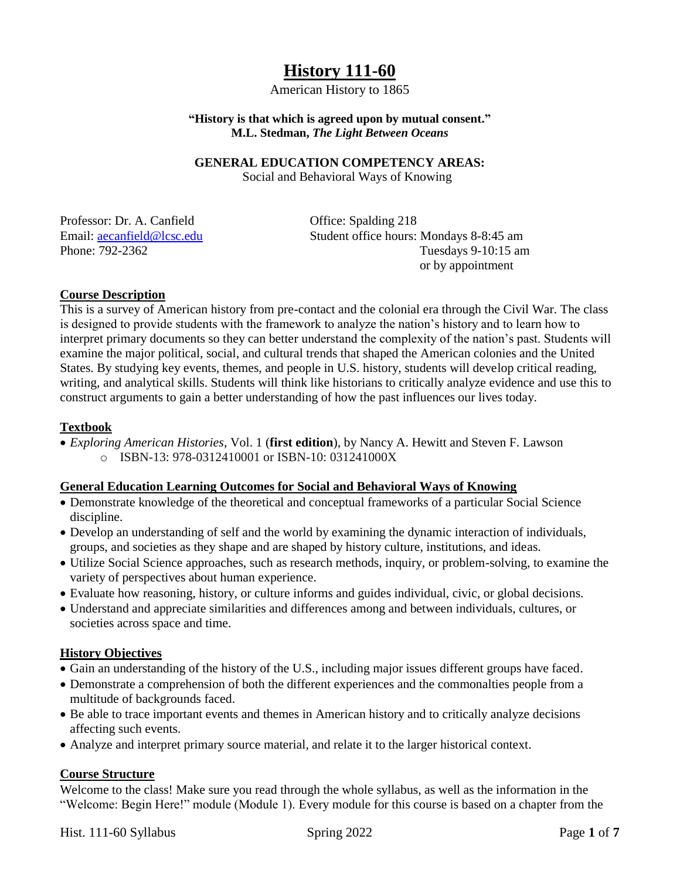# **History 111-60**

American History to 1865

#### **"History is that which is agreed upon by mutual consent." M.L. Stedman,** *The Light Between Oceans*

#### **GENERAL EDUCATION COMPETENCY AREAS:**

Social and Behavioral Ways of Knowing

Professor: Dr. A. Canfield Office: Spalding 218

Email: [aecanfield@lcsc.edu](mailto:aecanfield@lcsc.edu) Student office hours: Mondays 8-8:45 am Phone: 792-2362 Tuesdays 9-10:15 am or by appointment

# **Course Description**

This is a survey of American history from pre-contact and the colonial era through the Civil War. The class is designed to provide students with the framework to analyze the nation's history and to learn how to interpret primary documents so they can better understand the complexity of the nation's past. Students will examine the major political, social, and cultural trends that shaped the American colonies and the United States. By studying key events, themes, and people in U.S. history, students will develop critical reading, writing, and analytical skills. Students will think like historians to critically analyze evidence and use this to construct arguments to gain a better understanding of how the past influences our lives today.

# **Textbook**

 *Exploring American Histories*, Vol. 1 (**first edition**), by Nancy A. Hewitt and Steven F. Lawson o ISBN-13: 978-0312410001 or ISBN-10: 031241000X

# **General Education Learning Outcomes for Social and Behavioral Ways of Knowing**

- Demonstrate knowledge of the theoretical and conceptual frameworks of a particular Social Science discipline.
- Develop an understanding of self and the world by examining the dynamic interaction of individuals, groups, and societies as they shape and are shaped by history culture, institutions, and ideas.
- Utilize Social Science approaches, such as research methods, inquiry, or problem-solving, to examine the variety of perspectives about human experience.
- Evaluate how reasoning, history, or culture informs and guides individual, civic, or global decisions.
- Understand and appreciate similarities and differences among and between individuals, cultures, or societies across space and time.

# **History Objectives**

- Gain an understanding of the history of the U.S., including major issues different groups have faced.
- Demonstrate a comprehension of both the different experiences and the commonalties people from a multitude of backgrounds faced.
- Be able to trace important events and themes in American history and to critically analyze decisions affecting such events.
- Analyze and interpret primary source material, and relate it to the larger historical context.

#### **Course Structure**

Welcome to the class! Make sure you read through the whole syllabus, as well as the information in the "Welcome: Begin Here!" module (Module 1). Every module for this course is based on a chapter from the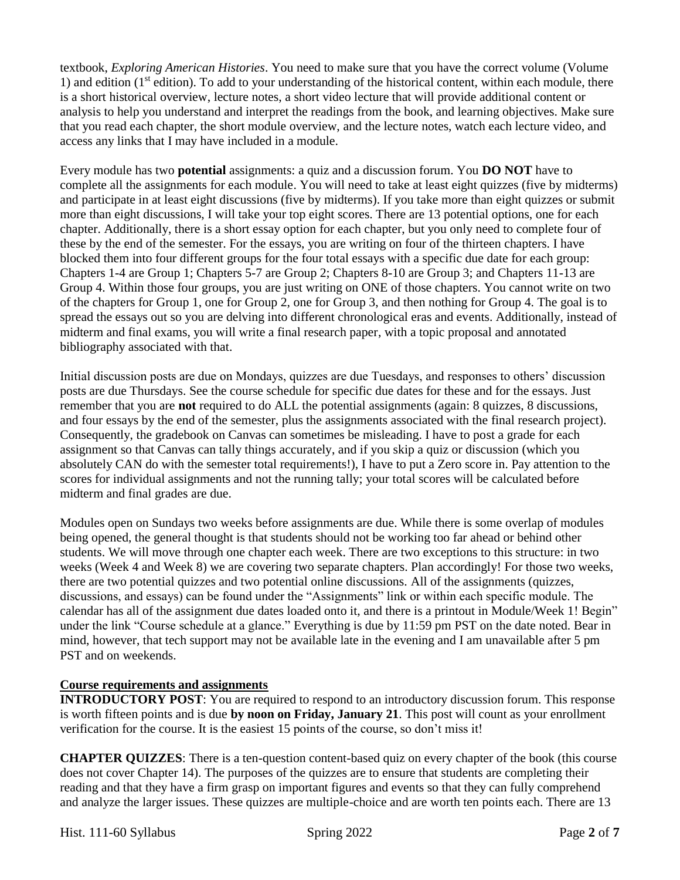textbook, *Exploring American Histories*. You need to make sure that you have the correct volume (Volume 1) and edition  $(1<sup>st</sup> edition)$ . To add to your understanding of the historical content, within each module, there is a short historical overview, lecture notes, a short video lecture that will provide additional content or analysis to help you understand and interpret the readings from the book, and learning objectives. Make sure that you read each chapter, the short module overview, and the lecture notes, watch each lecture video, and access any links that I may have included in a module.

Every module has two **potential** assignments: a quiz and a discussion forum. You **DO NOT** have to complete all the assignments for each module. You will need to take at least eight quizzes (five by midterms) and participate in at least eight discussions (five by midterms). If you take more than eight quizzes or submit more than eight discussions, I will take your top eight scores. There are 13 potential options, one for each chapter. Additionally, there is a short essay option for each chapter, but you only need to complete four of these by the end of the semester. For the essays, you are writing on four of the thirteen chapters. I have blocked them into four different groups for the four total essays with a specific due date for each group: Chapters 1-4 are Group 1; Chapters 5-7 are Group 2; Chapters 8-10 are Group 3; and Chapters 11-13 are Group 4. Within those four groups, you are just writing on ONE of those chapters. You cannot write on two of the chapters for Group 1, one for Group 2, one for Group 3, and then nothing for Group 4. The goal is to spread the essays out so you are delving into different chronological eras and events. Additionally, instead of midterm and final exams, you will write a final research paper, with a topic proposal and annotated bibliography associated with that.

Initial discussion posts are due on Mondays, quizzes are due Tuesdays, and responses to others' discussion posts are due Thursdays. See the course schedule for specific due dates for these and for the essays. Just remember that you are **not** required to do ALL the potential assignments (again: 8 quizzes, 8 discussions, and four essays by the end of the semester, plus the assignments associated with the final research project). Consequently, the gradebook on Canvas can sometimes be misleading. I have to post a grade for each assignment so that Canvas can tally things accurately, and if you skip a quiz or discussion (which you absolutely CAN do with the semester total requirements!), I have to put a Zero score in. Pay attention to the scores for individual assignments and not the running tally; your total scores will be calculated before midterm and final grades are due.

Modules open on Sundays two weeks before assignments are due. While there is some overlap of modules being opened, the general thought is that students should not be working too far ahead or behind other students. We will move through one chapter each week. There are two exceptions to this structure: in two weeks (Week 4 and Week 8) we are covering two separate chapters. Plan accordingly! For those two weeks, there are two potential quizzes and two potential online discussions. All of the assignments (quizzes, discussions, and essays) can be found under the "Assignments" link or within each specific module. The calendar has all of the assignment due dates loaded onto it, and there is a printout in Module/Week 1! Begin" under the link "Course schedule at a glance." Everything is due by 11:59 pm PST on the date noted. Bear in mind, however, that tech support may not be available late in the evening and I am unavailable after 5 pm PST and on weekends.

# **Course requirements and assignments**

**INTRODUCTORY POST:** You are required to respond to an introductory discussion forum. This response is worth fifteen points and is due **by noon on Friday, January 21**. This post will count as your enrollment verification for the course. It is the easiest 15 points of the course, so don't miss it!

**CHAPTER QUIZZES**: There is a ten-question content-based quiz on every chapter of the book (this course does not cover Chapter 14). The purposes of the quizzes are to ensure that students are completing their reading and that they have a firm grasp on important figures and events so that they can fully comprehend and analyze the larger issues. These quizzes are multiple-choice and are worth ten points each. There are 13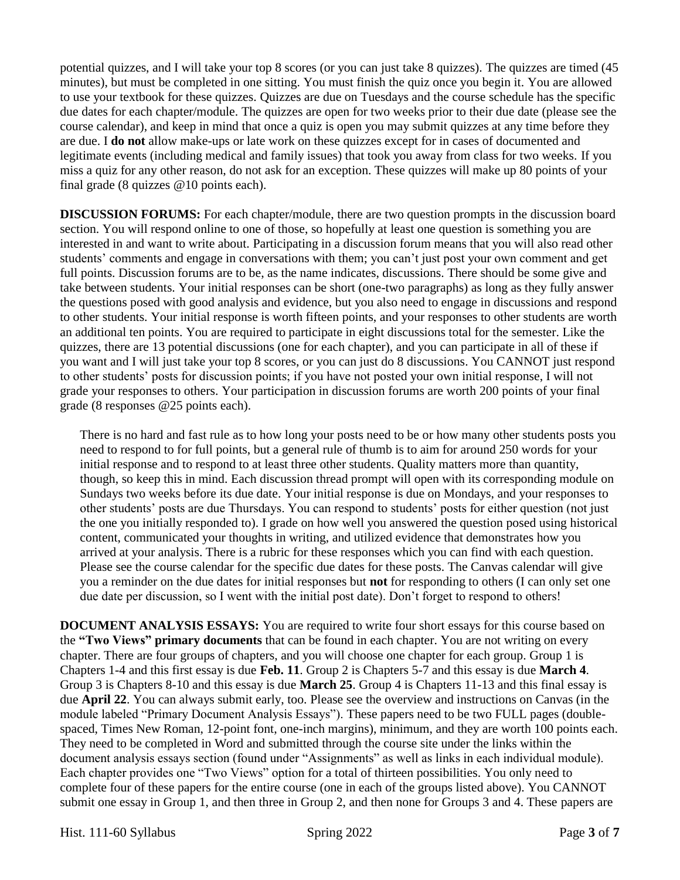potential quizzes, and I will take your top 8 scores (or you can just take 8 quizzes). The quizzes are timed (45 minutes), but must be completed in one sitting. You must finish the quiz once you begin it. You are allowed to use your textbook for these quizzes. Quizzes are due on Tuesdays and the course schedule has the specific due dates for each chapter/module. The quizzes are open for two weeks prior to their due date (please see the course calendar), and keep in mind that once a quiz is open you may submit quizzes at any time before they are due. I **do not** allow make-ups or late work on these quizzes except for in cases of documented and legitimate events (including medical and family issues) that took you away from class for two weeks. If you miss a quiz for any other reason, do not ask for an exception. These quizzes will make up 80 points of your final grade (8 quizzes @10 points each).

**DISCUSSION FORUMS:** For each chapter/module, there are two question prompts in the discussion board section. You will respond online to one of those, so hopefully at least one question is something you are interested in and want to write about. Participating in a discussion forum means that you will also read other students' comments and engage in conversations with them; you can't just post your own comment and get full points. Discussion forums are to be, as the name indicates, discussions. There should be some give and take between students. Your initial responses can be short (one-two paragraphs) as long as they fully answer the questions posed with good analysis and evidence, but you also need to engage in discussions and respond to other students. Your initial response is worth fifteen points, and your responses to other students are worth an additional ten points. You are required to participate in eight discussions total for the semester. Like the quizzes, there are 13 potential discussions (one for each chapter), and you can participate in all of these if you want and I will just take your top 8 scores, or you can just do 8 discussions. You CANNOT just respond to other students' posts for discussion points; if you have not posted your own initial response, I will not grade your responses to others. Your participation in discussion forums are worth 200 points of your final grade (8 responses @25 points each).

There is no hard and fast rule as to how long your posts need to be or how many other students posts you need to respond to for full points, but a general rule of thumb is to aim for around 250 words for your initial response and to respond to at least three other students. Quality matters more than quantity, though, so keep this in mind. Each discussion thread prompt will open with its corresponding module on Sundays two weeks before its due date. Your initial response is due on Mondays, and your responses to other students' posts are due Thursdays. You can respond to students' posts for either question (not just the one you initially responded to). I grade on how well you answered the question posed using historical content, communicated your thoughts in writing, and utilized evidence that demonstrates how you arrived at your analysis. There is a rubric for these responses which you can find with each question. Please see the course calendar for the specific due dates for these posts. The Canvas calendar will give you a reminder on the due dates for initial responses but **not** for responding to others (I can only set one due date per discussion, so I went with the initial post date). Don't forget to respond to others!

**DOCUMENT ANALYSIS ESSAYS:** You are required to write four short essays for this course based on the **"Two Views" primary documents** that can be found in each chapter. You are not writing on every chapter. There are four groups of chapters, and you will choose one chapter for each group. Group 1 is Chapters 1-4 and this first essay is due **Feb. 11**. Group 2 is Chapters 5-7 and this essay is due **March 4**. Group 3 is Chapters 8-10 and this essay is due **March 25**. Group 4 is Chapters 11-13 and this final essay is due **April 22**. You can always submit early, too. Please see the overview and instructions on Canvas (in the module labeled "Primary Document Analysis Essays"). These papers need to be two FULL pages (doublespaced, Times New Roman, 12-point font, one-inch margins), minimum, and they are worth 100 points each. They need to be completed in Word and submitted through the course site under the links within the document analysis essays section (found under "Assignments" as well as links in each individual module). Each chapter provides one "Two Views" option for a total of thirteen possibilities. You only need to complete four of these papers for the entire course (one in each of the groups listed above). You CANNOT submit one essay in Group 1, and then three in Group 2, and then none for Groups 3 and 4. These papers are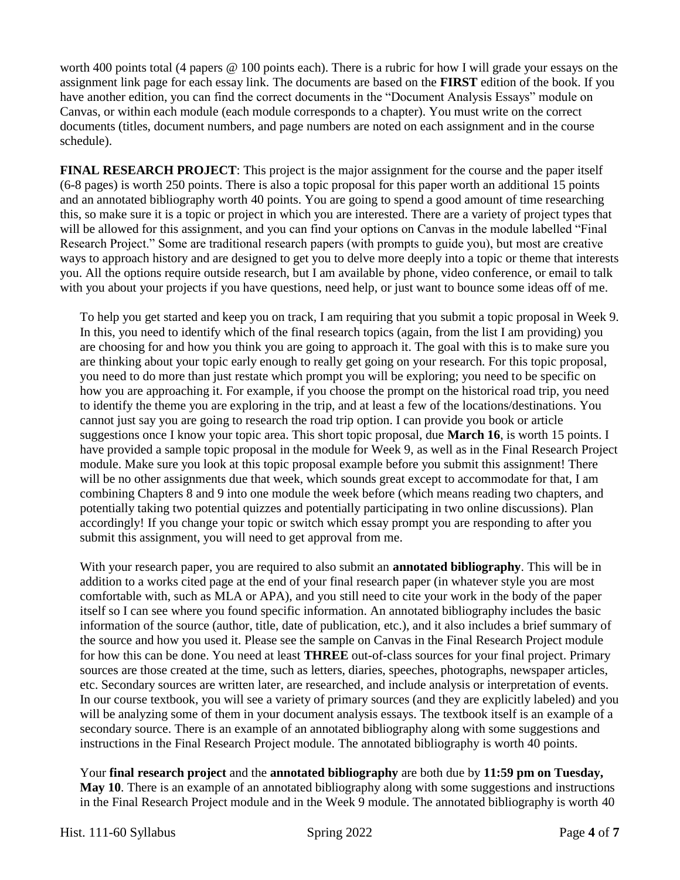worth 400 points total (4 papers @ 100 points each). There is a rubric for how I will grade your essays on the assignment link page for each essay link. The documents are based on the **FIRST** edition of the book. If you have another edition, you can find the correct documents in the "Document Analysis Essays" module on Canvas, or within each module (each module corresponds to a chapter). You must write on the correct documents (titles, document numbers, and page numbers are noted on each assignment and in the course schedule).

**FINAL RESEARCH PROJECT**: This project is the major assignment for the course and the paper itself (6-8 pages) is worth 250 points. There is also a topic proposal for this paper worth an additional 15 points and an annotated bibliography worth 40 points. You are going to spend a good amount of time researching this, so make sure it is a topic or project in which you are interested. There are a variety of project types that will be allowed for this assignment, and you can find your options on Canvas in the module labelled "Final" Research Project." Some are traditional research papers (with prompts to guide you), but most are creative ways to approach history and are designed to get you to delve more deeply into a topic or theme that interests you. All the options require outside research, but I am available by phone, video conference, or email to talk with you about your projects if you have questions, need help, or just want to bounce some ideas off of me.

To help you get started and keep you on track, I am requiring that you submit a topic proposal in Week 9. In this, you need to identify which of the final research topics (again, from the list I am providing) you are choosing for and how you think you are going to approach it. The goal with this is to make sure you are thinking about your topic early enough to really get going on your research. For this topic proposal, you need to do more than just restate which prompt you will be exploring; you need to be specific on how you are approaching it. For example, if you choose the prompt on the historical road trip, you need to identify the theme you are exploring in the trip, and at least a few of the locations/destinations. You cannot just say you are going to research the road trip option. I can provide you book or article suggestions once I know your topic area. This short topic proposal, due **March 16**, is worth 15 points. I have provided a sample topic proposal in the module for Week 9, as well as in the Final Research Project module. Make sure you look at this topic proposal example before you submit this assignment! There will be no other assignments due that week, which sounds great except to accommodate for that, I am combining Chapters 8 and 9 into one module the week before (which means reading two chapters, and potentially taking two potential quizzes and potentially participating in two online discussions). Plan accordingly! If you change your topic or switch which essay prompt you are responding to after you submit this assignment, you will need to get approval from me.

With your research paper, you are required to also submit an **annotated bibliography**. This will be in addition to a works cited page at the end of your final research paper (in whatever style you are most comfortable with, such as MLA or APA), and you still need to cite your work in the body of the paper itself so I can see where you found specific information. An annotated bibliography includes the basic information of the source (author, title, date of publication, etc.), and it also includes a brief summary of the source and how you used it. Please see the sample on Canvas in the Final Research Project module for how this can be done. You need at least **THREE** out-of-class sources for your final project. Primary sources are those created at the time, such as letters, diaries, speeches, photographs, newspaper articles, etc. Secondary sources are written later, are researched, and include analysis or interpretation of events. In our course textbook, you will see a variety of primary sources (and they are explicitly labeled) and you will be analyzing some of them in your document analysis essays. The textbook itself is an example of a secondary source. There is an example of an annotated bibliography along with some suggestions and instructions in the Final Research Project module. The annotated bibliography is worth 40 points.

Your **final research project** and the **annotated bibliography** are both due by **11:59 pm on Tuesday, May 10**. There is an example of an annotated bibliography along with some suggestions and instructions in the Final Research Project module and in the Week 9 module. The annotated bibliography is worth 40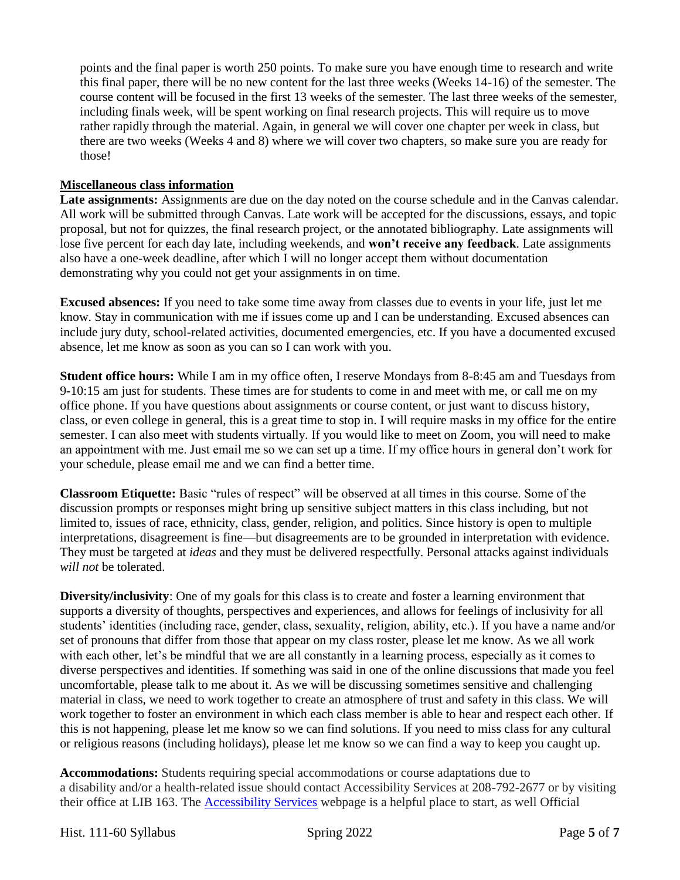points and the final paper is worth 250 points. To make sure you have enough time to research and write this final paper, there will be no new content for the last three weeks (Weeks 14-16) of the semester. The course content will be focused in the first 13 weeks of the semester. The last three weeks of the semester, including finals week, will be spent working on final research projects. This will require us to move rather rapidly through the material. Again, in general we will cover one chapter per week in class, but there are two weeks (Weeks 4 and 8) where we will cover two chapters, so make sure you are ready for those!

#### **Miscellaneous class information**

**Late assignments:** Assignments are due on the day noted on the course schedule and in the Canvas calendar. All work will be submitted through Canvas. Late work will be accepted for the discussions, essays, and topic proposal, but not for quizzes, the final research project, or the annotated bibliography. Late assignments will lose five percent for each day late, including weekends, and **won't receive any feedback**. Late assignments also have a one-week deadline, after which I will no longer accept them without documentation demonstrating why you could not get your assignments in on time.

**Excused absences:** If you need to take some time away from classes due to events in your life, just let me know. Stay in communication with me if issues come up and I can be understanding. Excused absences can include jury duty, school-related activities, documented emergencies, etc. If you have a documented excused absence, let me know as soon as you can so I can work with you.

**Student office hours:** While I am in my office often, I reserve Mondays from 8-8:45 am and Tuesdays from 9-10:15 am just for students. These times are for students to come in and meet with me, or call me on my office phone. If you have questions about assignments or course content, or just want to discuss history, class, or even college in general, this is a great time to stop in. I will require masks in my office for the entire semester. I can also meet with students virtually. If you would like to meet on Zoom, you will need to make an appointment with me. Just email me so we can set up a time. If my office hours in general don't work for your schedule, please email me and we can find a better time.

**Classroom Etiquette:** Basic "rules of respect" will be observed at all times in this course. Some of the discussion prompts or responses might bring up sensitive subject matters in this class including, but not limited to, issues of race, ethnicity, class, gender, religion, and politics. Since history is open to multiple interpretations, disagreement is fine—but disagreements are to be grounded in interpretation with evidence. They must be targeted at *ideas* and they must be delivered respectfully. Personal attacks against individuals *will not* be tolerated.

**Diversity/inclusivity**: One of my goals for this class is to create and foster a learning environment that supports a diversity of thoughts, perspectives and experiences, and allows for feelings of inclusivity for all students' identities (including race, gender, class, sexuality, religion, ability, etc.). If you have a name and/or set of pronouns that differ from those that appear on my class roster, please let me know. As we all work with each other, let's be mindful that we are all constantly in a learning process, especially as it comes to diverse perspectives and identities. If something was said in one of the online discussions that made you feel uncomfortable, please talk to me about it. As we will be discussing sometimes sensitive and challenging material in class, we need to work together to create an atmosphere of trust and safety in this class. We will work together to foster an environment in which each class member is able to hear and respect each other. If this is not happening, please let me know so we can find solutions. If you need to miss class for any cultural or religious reasons (including holidays), please let me know so we can find a way to keep you caught up.

**Accommodations:** Students requiring special accommodations or course adaptations due to a disability and/or a health-related issue should contact Accessibility Services at 208-792-2677 or by visiting their office at LIB 163. The [Accessibility Services](https://www.lcsc.edu/accessibility-services/student-information) webpage is a helpful place to start, as well Official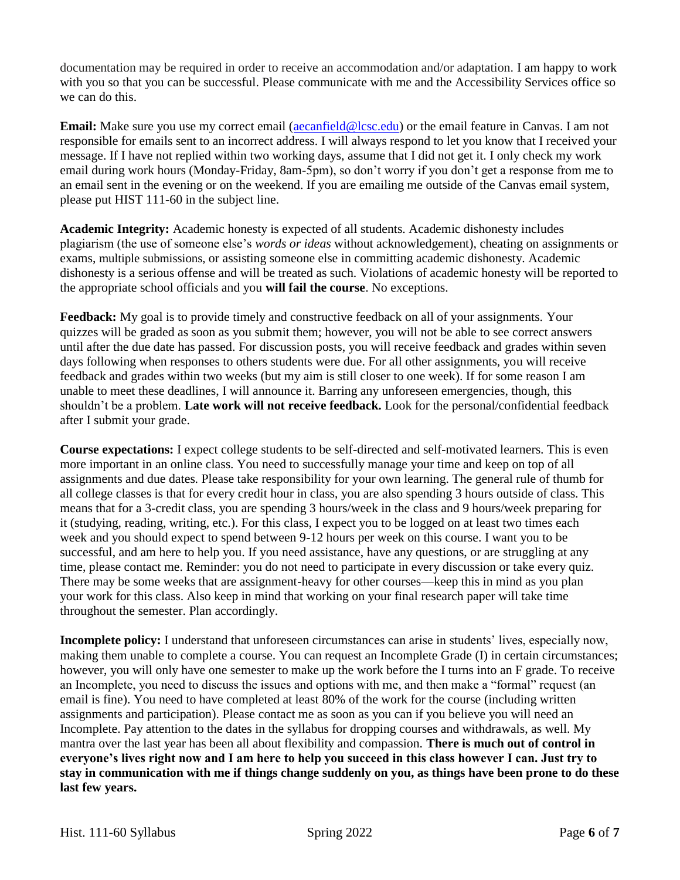documentation may be required in order to receive an accommodation and/or adaptation. I am happy to work with you so that you can be successful. Please communicate with me and the Accessibility Services office so we can do this.

**Email:** Make sure you use my correct email [\(aecanfield@lcsc.edu\)](mailto:aecanfield@lcsc.edu) or the email feature in Canvas. I am not responsible for emails sent to an incorrect address. I will always respond to let you know that I received your message. If I have not replied within two working days, assume that I did not get it. I only check my work email during work hours (Monday-Friday, 8am-5pm), so don't worry if you don't get a response from me to an email sent in the evening or on the weekend. If you are emailing me outside of the Canvas email system, please put HIST 111-60 in the subject line.

**Academic Integrity:** Academic honesty is expected of all students. Academic dishonesty includes plagiarism (the use of someone else's *words or ideas* without acknowledgement), cheating on assignments or exams, multiple submissions, or assisting someone else in committing academic dishonesty. Academic dishonesty is a serious offense and will be treated as such. Violations of academic honesty will be reported to the appropriate school officials and you **will fail the course**. No exceptions.

**Feedback:** My goal is to provide timely and constructive feedback on all of your assignments. Your quizzes will be graded as soon as you submit them; however, you will not be able to see correct answers until after the due date has passed. For discussion posts, you will receive feedback and grades within seven days following when responses to others students were due. For all other assignments, you will receive feedback and grades within two weeks (but my aim is still closer to one week). If for some reason I am unable to meet these deadlines, I will announce it. Barring any unforeseen emergencies, though, this shouldn't be a problem. **Late work will not receive feedback.** Look for the personal/confidential feedback after I submit your grade.

**Course expectations:** I expect college students to be self-directed and self-motivated learners. This is even more important in an online class. You need to successfully manage your time and keep on top of all assignments and due dates. Please take responsibility for your own learning. The general rule of thumb for all college classes is that for every credit hour in class, you are also spending 3 hours outside of class. This means that for a 3-credit class, you are spending 3 hours/week in the class and 9 hours/week preparing for it (studying, reading, writing, etc.). For this class, I expect you to be logged on at least two times each week and you should expect to spend between 9-12 hours per week on this course. I want you to be successful, and am here to help you. If you need assistance, have any questions, or are struggling at any time, please contact me. Reminder: you do not need to participate in every discussion or take every quiz. There may be some weeks that are assignment-heavy for other courses—keep this in mind as you plan your work for this class. Also keep in mind that working on your final research paper will take time throughout the semester. Plan accordingly.

**Incomplete policy:** I understand that unforeseen circumstances can arise in students' lives, especially now, making them unable to complete a course. You can request an Incomplete Grade (I) in certain circumstances; however, you will only have one semester to make up the work before the I turns into an F grade. To receive an Incomplete, you need to discuss the issues and options with me, and then make a "formal" request (an email is fine). You need to have completed at least 80% of the work for the course (including written assignments and participation). Please contact me as soon as you can if you believe you will need an Incomplete. Pay attention to the dates in the syllabus for dropping courses and withdrawals, as well. My mantra over the last year has been all about flexibility and compassion. **There is much out of control in everyone's lives right now and I am here to help you succeed in this class however I can. Just try to stay in communication with me if things change suddenly on you, as things have been prone to do these last few years.**